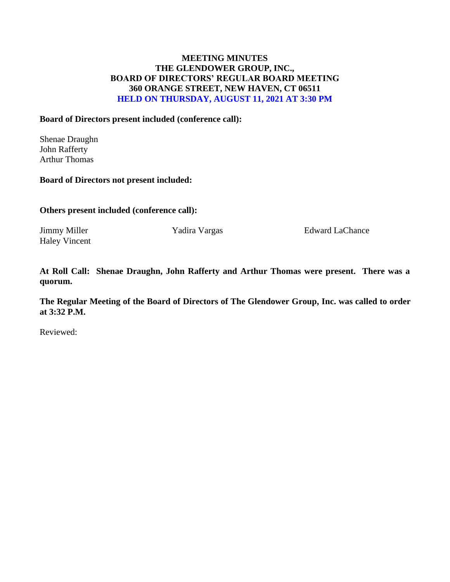## **MEETING MINUTES THE GLENDOWER GROUP, INC., BOARD OF DIRECTORS' REGULAR BOARD MEETING 360 ORANGE STREET, NEW HAVEN, CT 06511 HELD ON THURSDAY, AUGUST 11, 2021 AT 3:30 PM**

## **Board of Directors present included (conference call):**

Shenae Draughn John Rafferty Arthur Thomas

### **Board of Directors not present included:**

**Others present included (conference call):**

Haley Vincent

Jimmy Miller **Yadira Vargas** Edward LaChance

**At Roll Call: Shenae Draughn, John Rafferty and Arthur Thomas were present. There was a quorum.** 

**The Regular Meeting of the Board of Directors of The Glendower Group, Inc. was called to order at 3:32 P.M.**

Reviewed: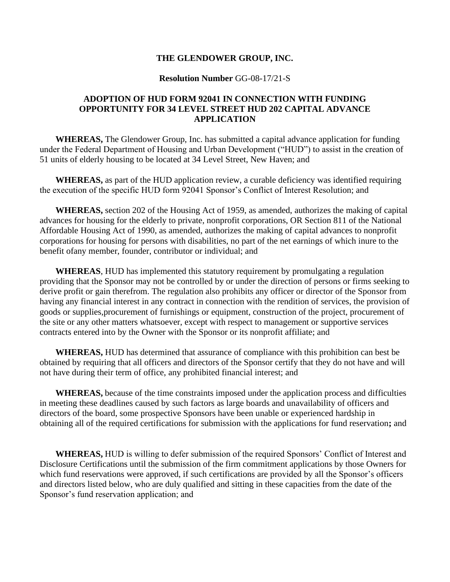### **THE GLENDOWER GROUP, INC.**

#### **Resolution Number** GG-08-17/21-S

### **ADOPTION OF HUD FORM 92041 IN CONNECTION WITH FUNDING OPPORTUNITY FOR 34 LEVEL STREET HUD 202 CAPITAL ADVANCE APPLICATION**

**WHEREAS,** The Glendower Group, Inc. has submitted a capital advance application for funding under the Federal Department of Housing and Urban Development ("HUD") to assist in the creation of 51 units of elderly housing to be located at 34 Level Street, New Haven; and

**WHEREAS,** as part of the HUD application review, a curable deficiency was identified requiring the execution of the specific HUD form 92041 Sponsor's Conflict of Interest Resolution; and

**WHEREAS,** section 202 of the Housing Act of 1959, as amended, authorizes the making of capital advances for housing for the elderly to private, nonprofit corporations, OR Section 811 of the National Affordable Housing Act of 1990, as amended, authorizes the making of capital advances to nonprofit corporations for housing for persons with disabilities, no part of the net earnings of which inure to the benefit ofany member, founder, contributor or individual; and

**WHEREAS**, HUD has implemented this statutory requirement by promulgating a regulation providing that the Sponsor may not be controlled by or under the direction of persons or firms seeking to derive profit or gain therefrom. The regulation also prohibits any officer or director of the Sponsor from having any financial interest in any contract in connection with the rendition of services, the provision of goods or supplies,procurement of furnishings or equipment, construction of the project, procurement of the site or any other matters whatsoever, except with respect to management or supportive services contracts entered into by the Owner with the Sponsor or its nonprofit affiliate; and

**WHEREAS,** HUD has determined that assurance of compliance with this prohibition can best be obtained by requiring that all officers and directors of the Sponsor certify that they do not have and will not have during their term of office, any prohibited financial interest; and

**WHEREAS,** because of the time constraints imposed under the application process and difficulties in meeting these deadlines caused by such factors as large boards and unavailability of officers and directors of the board, some prospective Sponsors have been unable or experienced hardship in obtaining all of the required certifications for submission with the applications for fund reservation**;** and

**WHEREAS,** HUD is willing to defer submission of the required Sponsors' Conflict of Interest and Disclosure Certifications until the submission of the firm commitment applications by those Owners for which fund reservations were approved, if such certifications are provided by all the Sponsor's officers and directors listed below, who are duly qualified and sitting in these capacities from the date of the Sponsor's fund reservation application; and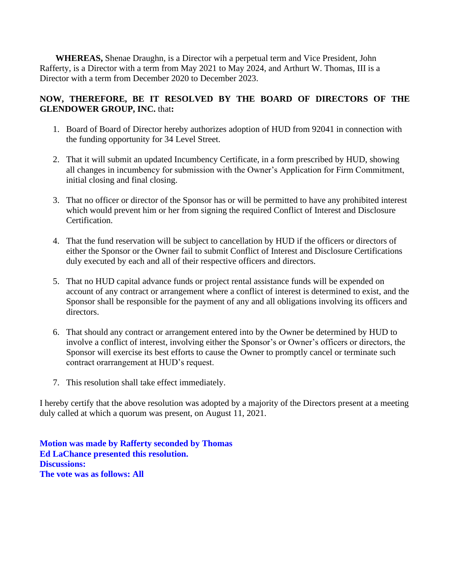**WHEREAS,** Shenae Draughn, is a Director wih a perpetual term and Vice President, John Rafferty, is a Director with a term from May 2021 to May 2024, and Arthurt W. Thomas, III is a Director with a term from December 2020 to December 2023.

# **NOW, THEREFORE, BE IT RESOLVED BY THE BOARD OF DIRECTORS OF THE GLENDOWER GROUP, INC.** that**:**

- 1. Board of Board of Director hereby authorizes adoption of HUD from 92041 in connection with the funding opportunity for 34 Level Street.
- 2. That it will submit an updated Incumbency Certificate, in a form prescribed by HUD, showing all changes in incumbency for submission with the Owner's Application for Firm Commitment, initial closing and final closing.
- 3. That no officer or director of the Sponsor has or will be permitted to have any prohibited interest which would prevent him or her from signing the required Conflict of Interest and Disclosure Certification.
- 4. That the fund reservation will be subject to cancellation by HUD if the officers or directors of either the Sponsor or the Owner fail to submit Conflict of Interest and Disclosure Certifications duly executed by each and all of their respective officers and directors.
- 5. That no HUD capital advance funds or project rental assistance funds will be expended on account of any contract or arrangement where a conflict of interest is determined to exist, and the Sponsor shall be responsible for the payment of any and all obligations involving its officers and directors.
- 6. That should any contract or arrangement entered into by the Owner be determined by HUD to involve a conflict of interest, involving either the Sponsor's or Owner's officers or directors, the Sponsor will exercise its best efforts to cause the Owner to promptly cancel or terminate such contract orarrangement at HUD's request.
- 7. This resolution shall take effect immediately.

I hereby certify that the above resolution was adopted by a majority of the Directors present at a meeting duly called at which a quorum was present, on August 11, 2021.

**Motion was made by Rafferty seconded by Thomas Ed LaChance presented this resolution. Discussions: The vote was as follows: All**